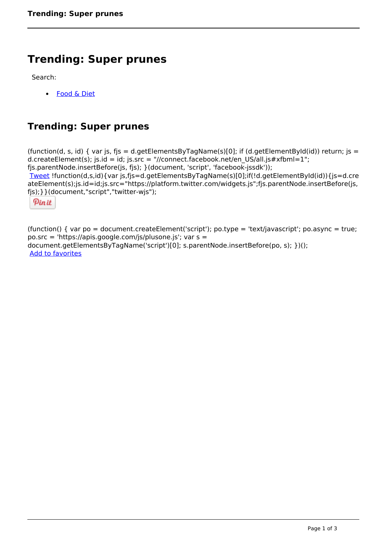# **Trending: Super prunes**

Search:

 [Food & Diet](https://www.naturalhealthmag.com.au/nourish/diet)  $\bullet$ 

## **Trending: Super prunes**

(function(d, s, id) { var js, fjs = d.getElementsByTagName(s)[0]; if (d.getElementById(id)) return; js = d.createElement(s); js.id = id; js.src = "//connect.facebook.net/en\_US/all.js#xfbml=1"; fjs.parentNode.insertBefore(js, fjs); }(document, 'script', 'facebook-jssdk')); [Tweet](https://twitter.com/share) !function(d,s,id){var js,fjs=d.getElementsByTagName(s)[0];if(!d.getElementById(id)){js=d.cre ateElement(s);js.id=id;js.src="https://platform.twitter.com/widgets.js";fjs.parentNode.insertBefore(js, fjs);}}(document,"script","twitter-wjs"); Pinit

(function() { var po = document.createElement('script'); po.type = 'text/javascript'; po.async = true; po.src = 'https://apis.google.com/js/plusone.js'; var s = document.getElementsByTagName('script')[0]; s.parentNode.insertBefore(po, s); })(); Add to favorites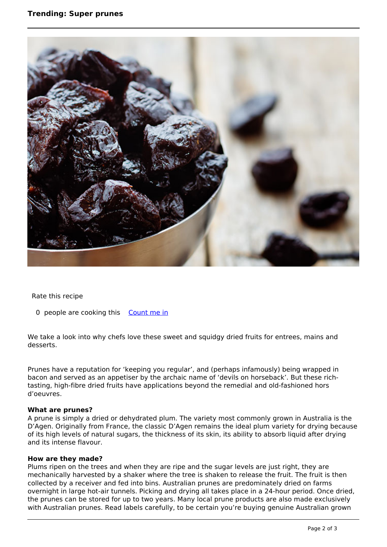## **Trending: Super prunes**



Rate this recipe

0 people are cooking this [Count me in](https://www.naturalhealthmag.com.au/flag/flag/favorites/2439?destination=printpdf%2F2439&token=5c4270db3c937bf7f3689c9238576095)

We take a look into why chefs love these sweet and squidgy dried fruits for entrees, mains and desserts.

Prunes have a reputation for 'keeping you regular', and (perhaps infamously) being wrapped in bacon and served as an appetiser by the archaic name of 'devils on horseback'. But these richtasting, high-fibre dried fruits have applications beyond the remedial and old-fashioned hors d'oeuvres.

#### **What are prunes?**

A prune is simply a dried or dehydrated plum. The variety most commonly grown in Australia is the D'Agen. Originally from France, the classic D'Agen remains the ideal plum variety for drying because of its high levels of natural sugars, the thickness of its skin, its ability to absorb liquid after drying and its intense flavour.

#### **How are they made?**

Plums ripen on the trees and when they are ripe and the sugar levels are just right, they are mechanically harvested by a shaker where the tree is shaken to release the fruit. The fruit is then collected by a receiver and fed into bins. Australian prunes are predominately dried on farms overnight in large hot-air tunnels. Picking and drying all takes place in a 24-hour period. Once dried, the prunes can be stored for up to two years. Many local prune products are also made exclusively with Australian prunes. Read labels carefully, to be certain you're buying genuine Australian grown